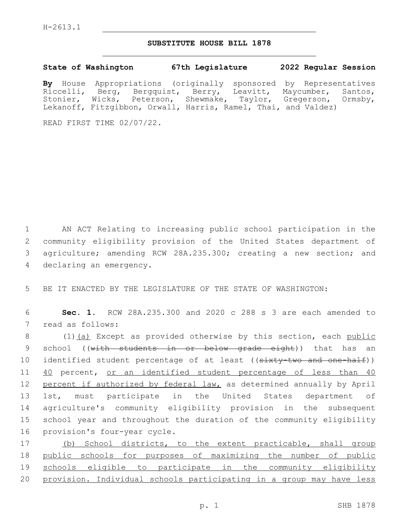## **SUBSTITUTE HOUSE BILL 1878**

**State of Washington 67th Legislature 2022 Regular Session**

**By** House Appropriations (originally sponsored by Representatives Riccelli, Berg, Bergquist, Berry, Leavitt, Maycumber, Santos, Stonier, Wicks, Peterson, Shewmake, Taylor, Gregerson, Ormsby, Lekanoff, Fitzgibbon, Orwall, Harris, Ramel, Thai, and Valdez)

READ FIRST TIME 02/07/22.

 AN ACT Relating to increasing public school participation in the community eligibility provision of the United States department of agriculture; amending RCW 28A.235.300; creating a new section; and 4 declaring an emergency.

5 BE IT ENACTED BY THE LEGISLATURE OF THE STATE OF WASHINGTON:

6 **Sec. 1.** RCW 28A.235.300 and 2020 c 288 s 3 are each amended to 7 read as follows:

8 (1)(a) Except as provided otherwise by this section, each public 9 school ((with students in or below grade eight)) that has an 10 identified student percentage of at least ((sixty-two and one-half)) 11 40 percent, or an identified student percentage of less than 40 12 percent if authorized by federal law, as determined annually by April 13 1st, must participate in the United States department of 14 agriculture's community eligibility provision in the subsequent 15 school year and throughout the duration of the community eligibility 16 provision's four-year cycle.

17 (b) School districts, to the extent practicable, shall group public schools for purposes of maximizing the number of public schools eligible to participate in the community eligibility provision. Individual schools participating in a group may have less